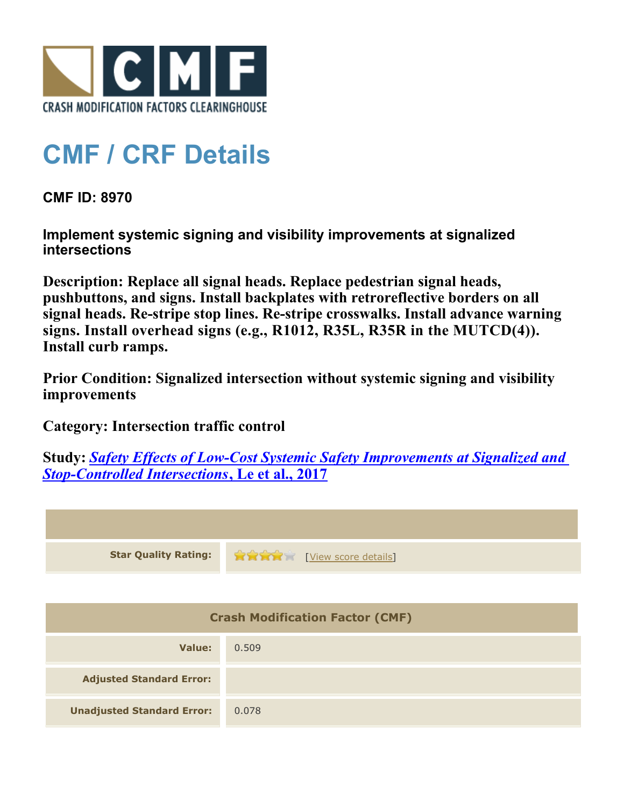

## **CMF / CRF Details**

**CMF ID: 8970**

**Implement systemic signing and visibility improvements at signalized intersections**

**Description: Replace all signal heads. Replace pedestrian signal heads, pushbuttons, and signs. Install backplates with retroreflective borders on all signal heads. Re-stripe stop lines. Re-stripe crosswalks. Install advance warning signs. Install overhead signs (e.g., R1012, R35L, R35R in the MUTCD(4)). Install curb ramps.**

**Prior Condition: Signalized intersection without systemic signing and visibility improvements**

**Category: Intersection traffic control**

**Study:** *[Safety Effects of Low-Cost Systemic Safety Improvements at Signalized and](http://www.cmfclearinghouse.org/study_detail.cfm?stid=492) [Stop-Controlled Intersections](http://www.cmfclearinghouse.org/study_detail.cfm?stid=492)***[, Le et al., 2017](http://www.cmfclearinghouse.org/study_detail.cfm?stid=492)**



| <b>Crash Modification Factor (CMF)</b> |       |
|----------------------------------------|-------|
| Value:                                 | 0.509 |
| <b>Adjusted Standard Error:</b>        |       |
| <b>Unadjusted Standard Error:</b>      | 0.078 |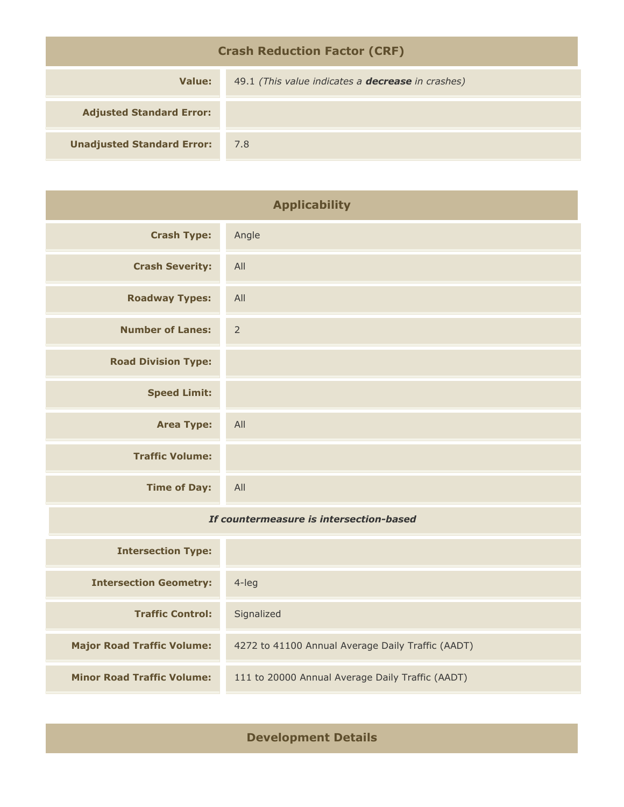| <b>Crash Reduction Factor (CRF)</b> |                                                          |  |
|-------------------------------------|----------------------------------------------------------|--|
| Value:                              | 49.1 (This value indicates a <b>decrease</b> in crashes) |  |
| <b>Adjusted Standard Error:</b>     |                                                          |  |
| <b>Unadjusted Standard Error:</b>   | 7.8                                                      |  |

| <b>Applicability</b>                    |                |
|-----------------------------------------|----------------|
| <b>Crash Type:</b>                      | Angle          |
| <b>Crash Severity:</b>                  | All            |
| <b>Roadway Types:</b>                   | All            |
| <b>Number of Lanes:</b>                 | $\overline{2}$ |
| <b>Road Division Type:</b>              |                |
| <b>Speed Limit:</b>                     |                |
| <b>Area Type:</b>                       | All            |
| <b>Traffic Volume:</b>                  |                |
| <b>Time of Day:</b>                     | All            |
| If countermeasure is intersection-based |                |
| <b>Intersection Type:</b>               |                |
| <b>Intersection Geometry:</b>           | 4-leg          |
| <b>Traffic Control:</b>                 | Signalized     |

**Development Details**

**Major Road Traffic Volume:** 4272 to 41100 Annual Average Daily Traffic (AADT)

**Minor Road Traffic Volume:** 111 to 20000 Annual Average Daily Traffic (AADT)